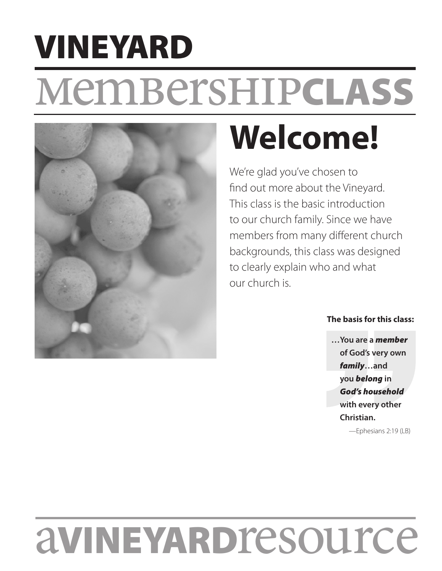# membershipCLASS VINEYARD



# **Welcome!**

We're glad you've chosen to find out more about the Vineyard. This class is the basic introduction to our church family. Since we have members from many different church backgrounds, this class was designed to clearly explain who and what our church is.

# **The basis for this class:**

**…You are a** *member* **of God's very own**  *family***…and you** *belong* **in**  *God's household* **with every other Christian.** —Ephesians 2:19 (LB)

aVINEYARDresource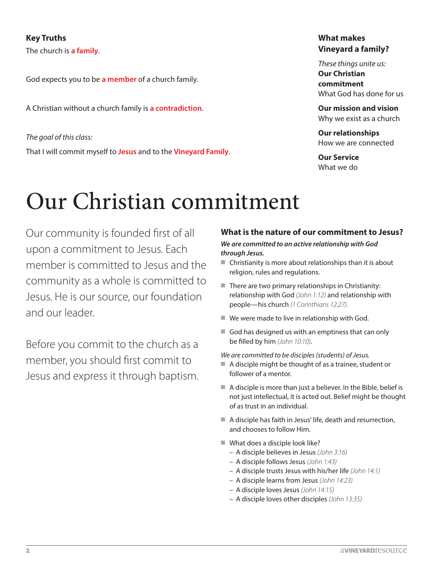# **Key Truths**

The church is **a family**.

God expects you to be **a member** of a church family.

A Christian without a church family is **a contradiction**.

*The goal of this class:* That I will commit myself to **Jesus** and to the **Vineyard Family**.

# **What makes Vineyard a family?**

*These things unite us:* **Our Christian commitment**  What God has done for us

**Our mission and vision**  Why we exist as a church

**Our relationships**  How we are connected

**Our Service**  What we do

# Our Christian commitment

Our community is founded first of all upon a commitment to Jesus. Each member is committed to Jesus and the community as a whole is committed to Jesus. He is our source, our foundation and our leader.

Before you commit to the church as a member, you should first commit to Jesus and express it through baptism.

# **What is the nature of our commitment to Jesus?**

#### *We are committed to an active relationship with God through Jesus.*

- $\blacksquare$  Christianity is more about relationships than it is about religion, rules and regulations.
- $\blacksquare$  There are two primary relationships in Christianity: relationship with God *(John 1:12)* and relationship with people—his church *(1 Corinthians 12:27).*
- $\blacksquare$  We were made to live in relationship with God.
- $\blacksquare$  God has designed us with an emptiness that can only be filled by him *(John 10:10)*.

*We are committed to be disciples (students) of Jesus.*

- $\blacksquare$  A disciple might be thought of as a trainee, student or follower of a mentor.
- $\blacksquare$  A disciple is more than just a believer. In the Bible, belief is not just intellectual, it is acted out. Belief might be thought of as trust in an individual.
- $\blacksquare$  A disciple has faith in Jesus' life, death and resurrection, and chooses to follow Him.
- $\blacksquare$  What does a disciple look like?
	- A disciple believes in Jesus *(John 3:16)*
	- A disciple follows Jesus *(John 1:43)*
	- A disciple trusts Jesus with his/her life *(John 14:1)*
	- A disciple learns from Jesus *(John 14:23)*
	- A disciple loves Jesus *(John 14:15)*
	- A disciple loves other disciples *(John 13:35)*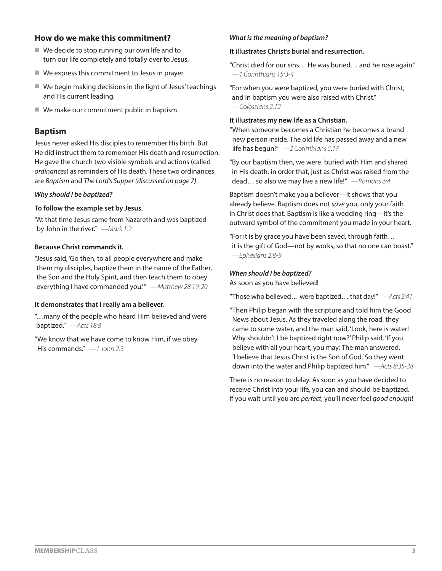# **How do we make this commitment?**

- $\blacksquare$  We decide to stop running our own life and to turn our life completely and totally over to Jesus.
- $\blacksquare$  We express this commitment to Jesus in prayer.
- $\blacksquare$  We begin making decisions in the light of Jesus' teachings and His current leading.
- $\blacksquare$  We make our commitment public in baptism.

# **Baptism**

Jesus never asked His disciples to remember His birth. But He did instruct them to remember His death and resurrection. He gave the church two visible symbols and actions (called *ordinances*) as reminders of His death. These two ordinances are *Baptism* and *The Lord's Supper (discussed on page 7)*.

#### *Why should I be baptized?*

#### **To follow the example set by Jesus.**

"At that time Jesus came from Nazareth and was baptized by John in the river." *—Mark 1:9*

#### **Because Christ commands it.**

"Jesus said, 'Go then, to all people everywhere and make them my disciples, baptize them in the name of the Father, the Son and the Holy Spirit, and then teach them to obey everything I have commanded you.'" *—Matthew 28:19-20*

#### **It demonstrates that I really am a believer.**

"…many of the people who heard Him believed and were baptized." *—Acts 18:8*

"We know that we have come to know Him, if we obey His commands." *—1 John 2:3*

### *What is the meaning of baptism?*

#### **It illustrates Christ's burial and resurrection.**

"Christ died for our sins… He was buried… and he rose again." *—1 Corinthians 15:3-4*

"For when you were baptized, you were buried with Christ, and in baptism you were also raised with Christ." *—Colossians 2:12*

#### **It illustrates my new life as a Christian.**

"When someone becomes a Christian he becomes a brand new person inside. The old life has passed away and a new life has begun!" *—2 Corinthians 5:17*

"By our baptism then, we were buried with Him and shared in His death, in order that, just as Christ was raised from the dead… so also we may live a new life!" *—Romans 6:4*

Baptism doesn't make you a believer—it shows that you already believe. Baptism does not *save* you, only your faith in Christ does that. Baptism is like a wedding ring—it's the outward symbol of the commitment you made in your heart.

"For it is by grace you have been saved, through faith… it is the gift of God—not by works, so that no one can boast." *—Ephesians 2:8-9*

#### *When should I be baptized?*

As soon as you have believed!

"Those who believed… were baptized… that day!" *—Acts 2:41*

"Then Philip began with the scripture and told him the Good News about Jesus. As they traveled along the road, they came to some water, and the man said, 'Look, here is water! Why shouldn't I be baptized right now?' Philip said, 'If you believe with all your heart, you may.' The man answered, 'I believe that Jesus Christ is the Son of God.' So they went down into the water and Philip baptized him." *—Acts 8:35-38*

There is no reason to delay. As soon as you have decided to receive Christ into your life, you can and should be baptized. If you wait until you are *perfect*, you'll never feel *good enough*!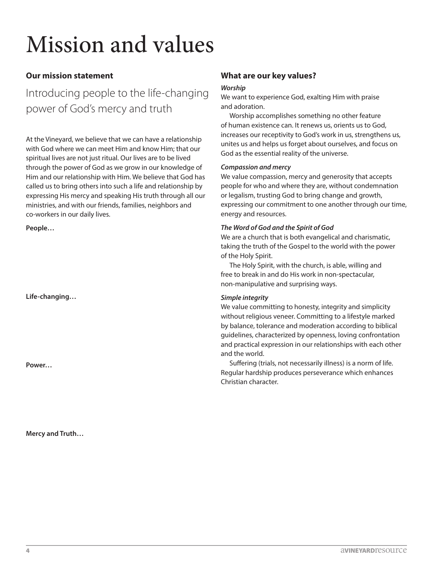# Mission and values

# **Our mission statement**

Introducing people to the life-changing power of God's mercy and truth

At the Vineyard, we believe that we can have a relationship with God where we can meet Him and know Him; that our spiritual lives are not just ritual. Our lives are to be lived through the power of God as we grow in our knowledge of Him and our relationship with Him. We believe that God has called us to bring others into such a life and relationship by expressing His mercy and speaking His truth through all our ministries, and with our friends, families, neighbors and co-workers in our daily lives.

**People…**

**Life-changing…**

**Power…**

**Mercy and Truth…**

# **What are our key values?**

#### *Worship*

We want to experience God, exalting Him with praise and adoration.

Worship accomplishes something no other feature of human existence can. It renews us, orients us to God, increases our receptivity to God's work in us, strengthens us, unites us and helps us forget about ourselves, and focus on God as the essential reality of the universe.

#### *Compassion and mercy*

We value compassion, mercy and generosity that accepts people for who and where they are, without condemnation or legalism, trusting God to bring change and growth, expressing our commitment to one another through our time, energy and resources.

#### *The Word of God and the Spirit of God*

We are a church that is both evangelical and charismatic, taking the truth of the Gospel to the world with the power of the Holy Spirit.

The Holy Spirit, with the church, is able, willing and free to break in and do His work in non-spectacular, non-manipulative and surprising ways.

### *Simple integrity*

We value committing to honesty, integrity and simplicity without religious veneer. Committing to a lifestyle marked by balance, tolerance and moderation according to biblical guidelines, characterized by openness, loving confrontation and practical expression in our relationships with each other and the world.

Suffering (trials, not necessarily illness) is a norm of life. Regular hardship produces perseverance which enhances Christian character.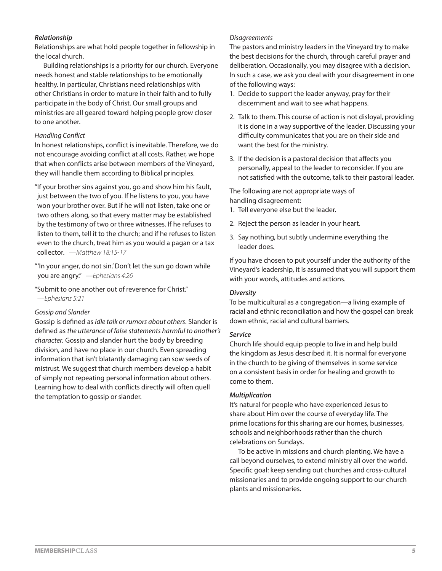### *Relationship*

Relationships are what hold people together in fellowship in the local church.

Building relationships is a priority for our church. Everyone needs honest and stable relationships to be emotionally healthy. In particular, Christians need relationships with other Christians in order to mature in their faith and to fully participate in the body of Christ. Our small groups and ministries are all geared toward helping people grow closer to one another.

#### *Handling Conflict*

In honest relationships, conflict is inevitable. Therefore, we do not encourage avoiding conflict at all costs. Rather, we hope that when conflicts arise between members of the Vineyard, they will handle them according to Biblical principles.

"If your brother sins against you, go and show him his fault, just between the two of you. If he listens to you, you have won your brother over. But if he will not listen, take one or two others along, so that every matter may be established by the testimony of two or three witnesses. If he refuses to listen to them, tell it to the church; and if he refuses to listen even to the church, treat him as you would a pagan or a tax collector. *—Matthew 18:15-17*

"'In your anger, do not sin.' Don't let the sun go down while you are angry." *—Ephesians 4:26*

"Submit to one another out of reverence for Christ." *—Ephesians 5:21*

#### *Gossip and Slander*

Gossip is defined as *idle talk or rumors about others*. Slander is defined as *the utterance of false statements harmful to another's character.* Gossip and slander hurt the body by breeding division, and have no place in our church. Even spreading information that isn't blatantly damaging can sow seeds of mistrust. We suggest that church members develop a habit of simply not repeating personal information about others. Learning how to deal with conflicts directly will often quell the temptation to gossip or slander.

#### *Disagreements*

The pastors and ministry leaders in the Vineyard try to make the best decisions for the church, through careful prayer and deliberation. Occasionally, you may disagree with a decision. In such a case, we ask you deal with your disagreement in one of the following ways:

- 1. Decide to support the leader anyway, pray for their discernment and wait to see what happens.
- 2. Talk to them. This course of action is not disloyal, providing it is done in a way supportive of the leader. Discussing your difficulty communicates that you are on their side and want the best for the ministry.
- 3. If the decision is a pastoral decision that affects you personally, appeal to the leader to reconsider. If you are not satisfied with the outcome, talk to their pastoral leader.

The following are not appropriate ways of handling disagreement:

- 1. Tell everyone else but the leader.
- 2. Reject the person as leader in your heart.
- 3. Say nothing, but subtly undermine everything the leader does.

If you have chosen to put yourself under the authority of the Vineyard's leadership, it is assumed that you will support them with your words, attitudes and actions.

#### *Diversity*

To be multicultural as a congregation—a living example of racial and ethnic reconciliation and how the gospel can break down ethnic, racial and cultural barriers.

#### *Service*

Church life should equip people to live in and help build the kingdom as Jesus described it. It is normal for everyone in the church to be giving of themselves in some service on a consistent basis in order for healing and growth to come to them.

#### *Multiplication*

It's natural for people who have experienced Jesus to share about Him over the course of everyday life. The prime locations for this sharing are our homes, businesses, schools and neighborhoods rather than the church celebrations on Sundays.

To be active in missions and church planting. We have a call beyond ourselves, to extend ministry all over the world. Specific goal: keep sending out churches and cross-cultural missionaries and to provide ongoing support to our church plants and missionaries.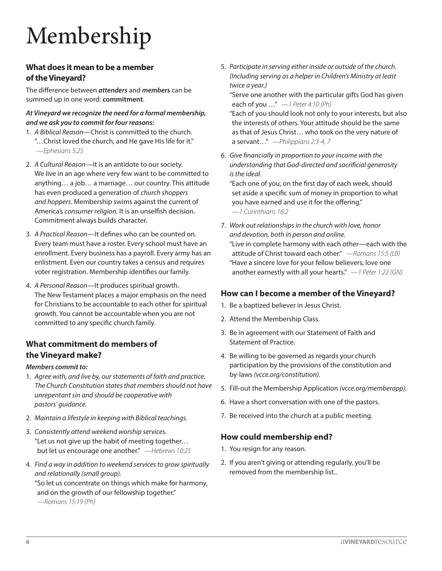# Membership

# **What does it mean to be a member of the Vineyard?**

The difference between *attenders* and *members* can be summed up in one word: **commitment**.

# *At Vineyard we recognize the need for a formal membership, and we ask you to commit for four reasons:*

- 1. *A Biblical Reason*—Christ is committed to the church. "…Christ loved the church, and He gave His life for it." *—Ephesians 5:25*
- 2. *A Cultural Reason—*It is an antidote to our society. We live in an age where very few want to be committed to anything… a job… a marriage… our country. This attitude has even produced a generation of *church shoppers and hoppers*. Membership swims against the current of America's *consumer religion*. It is an unselfish decision. Commitment always builds character.
- 3. *A Practical Reason*—It defines who can be counted on. Every team must have a roster. Every school must have an enrollment. Every business has a payroll. Every army has an enlistment. Even our country takes a census and requires voter registration. Membership identifies our family.
- 4. *A Personal Reason*—It produces spiritual growth. The New Testament places a major emphasis on the need for Christians to be accountable to each other for spiritual growth. You cannot be accountable when you are not committed to any specific church family.

# **What commitment do members of the Vineyard make?**

# *Members commit to:*

- 1. *Agree with, and live by, our statements of faith and practice. The Church Constitution states that members should not have unrepentant sin and should be cooperative with pastors' guidance.*
- 2. *Maintain a lifestyle in keeping with Biblical teachings.*
- 3. *Consistently attend weekend worship services.* "Let us not give up the habit of meeting together… but let us encourage one another." *—Hebrews 10:25*
- 4. *Find a way in addition to weekend services to grow spiritually and relationally (small group).* "So let us concentrate on things which make for harmony, and on the growth of our fellowship together." *—Romans 15:19 (Ph)*

5. *Participate in serving either inside or outside of the church. (Including serving as a helper in Children's Ministry at least twice a year.)*

"Serve one another with the particular gifts God has given each of you …" *—1 Peter 4:10 (Ph)*

"Each of you should look not only to your interests, but also the interests of others. Your attitude should be the same as that of Jesus Christ… who took on the very nature of a servant…" *—Philippians 2:3-4, 7*

6. *Give financially in proportion to your income with the understanding that God-directed and sacrificial generosity is the ideal.*

"Each one of you, on the first day of each week, should set aside a specific sum of money in proportion to what you have earned and use it for the offering." *—1 Corinthians 16:2*

7. *Work out relationships in the church with love, honor and devotion, both in person and online.* "Live in complete harmony with each other—each with the attitude of Christ toward each other." *—Romans 15:5 (LB)* "Have a sincere love for your fellow believers, love one another earnestly with all your hearts." *—1 Peter 1:22 (GN)*

# **How can I become a member of the Vineyard?**

- 1. Be a baptized believer in Jesus Christ.
- 2. Attend the Membership Class.
- 3. Be in agreement with our Statement of Faith and Statement of Practice.
- 4. Be willing to be governed as regards your church participation by the provisions of the constitution and by-laws *(vcce.org/constitution).*
- 5. Fill-out the Membership Application *(vcce.org/memberapp).*
- 6. Have a short conversation with one of the pastors.
- 7. Be received into the church at a public meeting.

# **How could membership end?**

- 1. You resign for any reason.
- 2. If you aren't giving or attending regularly, you'll be removed from the membership list..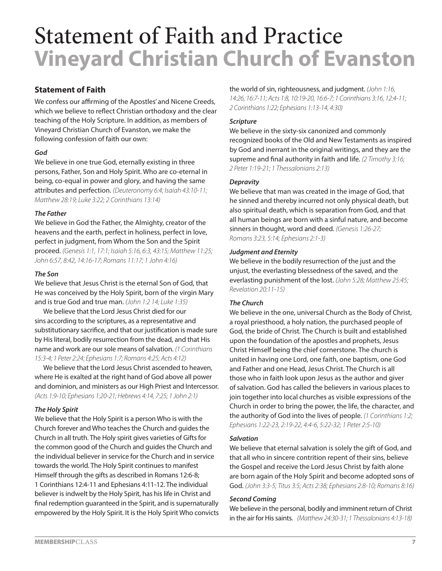# Statement of Faith and Practice **Vineyard Christian Church of Evanston**

# **Statement of Faith**

We confess our affirming of the Apostles' and Nicene Creeds, which we believe to reflect Christian orthodoxy and the clear teaching of the Holy Scripture. In addition, as members of Vineyard Christian Church of Evanston, we make the following confession of faith our own:

# *God*

We believe in one true God, eternally existing in three persons, Father, Son and Holy Spirit. Who are co-eternal in being, co-equal in power and glory, and having the same attributes and perfection. *(Deuteronomy 6:4; Isaiah 43:10-11; Matthew 28:19; Luke 3:22; 2 Corinthians 13:14)*

# *The Father*

We believe in God the Father, the Almighty, creator of the heavens and the earth, perfect in holiness, perfect in love, perfect in judgment, from Whom the Son and the Spirit proceed. *(Genesis 1:1, 17:1; Isaiah 5:16, 6:3, 43:15; Matthew 11:25; John 6:57, 8:42, 14:16-17; Romans 11:17; 1 John 4:16)*

# *The Son*

We believe that Jesus Christ is the eternal Son of God, that He was conceived by the Holy Spirit, born of the virgin Mary and is true God and true man. *(John 1:2 14; Luke 1:35)*

We believe that the Lord Jesus Christ died for our sins according to the scriptures, as a representative and substitutionary sacrifice, and that our justification is made sure by His literal, bodily resurrection from the dead, and that His name and work are our sole means of salvation. *(1 Corinthians 15:3-4; 1 Peter 2:24; Ephesians 1:7; Romans 4:25; Acts 4:12)*

We believe that the Lord Jesus Christ ascended to heaven, where He is exalted at the right hand of God above all power and dominion, and ministers as our High Priest and Intercessor. *(Acts 1:9-10; Ephesians 1:20-21; Hebrews 4:14, 7:25; 1 John 2:1)*

# *The Holy Spirit*

We believe that the Holy Spirit is a person Who is with the Church forever and Who teaches the Church and guides the Church in all truth. The Holy spirit gives varieties of Gifts for the common good of the Church and guides the Church and the individual believer in service for the Church and in service towards the world. The Holy Spirit continues to manifest Himself through the gifts as described in Romans 12:6-8; 1 Corinthians 12:4-11 and Ephesians 4:11-12. The individual believer is indwelt by the Holy Spirit, has his life in Christ and final redemption guaranteed in the Spirit, and is supernaturally empowered by the Holy Spirit. It is the Holy Spirit Who convicts

#### the world of sin, righteousness, and judgment. *(John 1:16, 14:26, 16:7-11; Acts 1:8, 10:19-20, 16:6-7; 1 Corinthians 3:16, 12:4-11; 2 Corinthians 1:22; Ephesians 1:13-14, 4:30)*

# *Scripture*

We believe in the sixty-six canonized and commonly recognized books of the Old and New Testaments as inspired by God and inerrant in the original writings, and they are the supreme and final authority in faith and life. *(2 Timothy 3:16; 2 Peter 1:19-21; 1 Thessalonians 2:13)*

# *Depravity*

We believe that man was created in the image of God, that he sinned and thereby incurred not only physical death, but also spiritual death, which is separation from God, and that all human beings are born with a sinful nature, and become sinners in thought, word and deed. *(Genesis 1:26-27; Romans 3:23, 5:14; Ephesians 2:1-3)*

# *Judgment and Eternity*

We believe in the bodily resurrection of the just and the unjust, the everlasting blessedness of the saved, and the everlasting punishment of the lost. *(John 5:28; Matthew 25:45; Revelation 20:11-15)*

# *The Church*

We believe in the one, universal Church as the Body of Christ, a royal priesthood, a holy nation, the purchased people of God, the bride of Christ. The Church is built and established upon the foundation of the apostles and prophets, Jesus Christ Himself being the chief cornerstone. The church is united in having one Lord, one faith, one baptism, one God and Father and one Head, Jesus Christ. The Church is all those who in faith look upon Jesus as the author and giver of salvation. God has called the believers in various places to join together into local churches as visible expressions of the Church in order to bring the power, the life, the character, and the authority of God into the lives of people. *(1 Corinthians 1:2; Ephesians 1:22-23, 2:19-22, 4:4-6, 5:22-32; 1 Peter 2:5-10)*

### *Salvation*

We believe that eternal salvation is solely the gift of God, and that all who in sincere contrition repent of their sins, believe the Gospel and receive the Lord Jesus Christ by faith alone are born again of the Holy Spirit and become adopted sons of God. *(John 3:3-5; Titus 3:5; Acts 2:38; Ephesians 2:8-10; Romans 8:16)*

### *Second Coming*

We believe in the personal, bodily and imminent return of Christ in the air for His saints. *(Matthew 24:30-31; 1 Thessalonians 4:13-18)*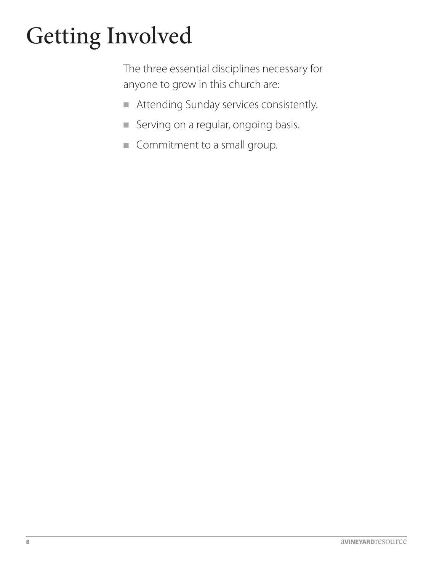# Getting Involved

The three essential disciplines necessary for anyone to grow in this church are:

- **n** Attending Sunday services consistently.
- **n** Serving on a regular, ongoing basis.
- **n** Commitment to a small group.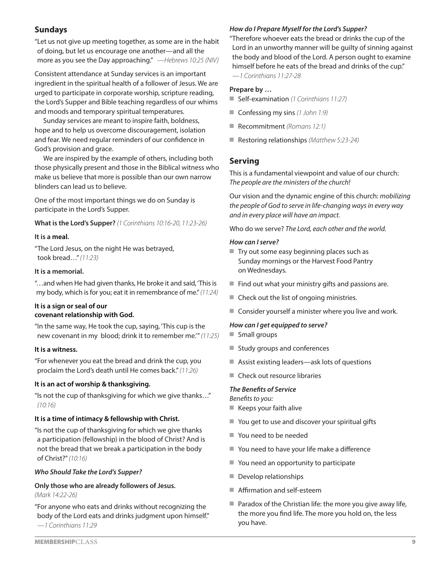# **Sundays**

"Let us not give up meeting together, as some are in the habit of doing, but let us encourage one another—and all the more as you see the Day approaching." *—Hebrews 10:25 (NIV)*

Consistent attendance at Sunday services is an important ingredient in the spiritual health of a follower of Jesus. We are urged to participate in corporate worship, scripture reading, the Lord's Supper and Bible teaching regardless of our whims and moods and temporary spiritual temperatures.

Sunday services are meant to inspire faith, boldness, hope and to help us overcome discouragement, isolation and fear. We need regular reminders of our confidence in God's provision and grace.

We are inspired by the example of others, including both those physically present and those in the Biblical witness who make us believe that more is possible than our own narrow blinders can lead us to believe.

One of the most important things we do on Sunday is participate in the Lord's Supper.

**What is the Lord's Supper?** *(1 Corinthians 10:16-20, 11:23-26)*

# **It is a meal.**

"The Lord Jesus, on the night He was betrayed, took bread…" *(11:23)*

# **It is a memorial.**

"…and when He had given thanks, He broke it and said, 'This is my body, which is for you; eat it in remembrance of me." *(11:24)*

# **It is a sign or seal of our covenant relationship with God.**

"In the same way, He took the cup, saying, 'This cup is the new covenant in my blood; drink it to remember me.'" *(11:25)*

### **It is a witness.**

"For whenever you eat the bread and drink the cup, you proclaim the Lord's death until He comes back." *(11:26)*

# **It is an act of worship & thanksgiving.**

"Is not the cup of thanksgiving for which we give thanks…" *(10:16)*

# **It is a time of intimacy & fellowship with Christ.**

"Is not the cup of thanksgiving for which we give thanks a participation (fellowship) in the blood of Christ? And is not the bread that we break a participation in the body of Christ?" *(10:16)*

# *Who Should Take the Lord's Supper?*

#### **Only those who are already followers of Jesus.**  *(Mark 14:22-26)*

"For anyone who eats and drinks without recognizing the body of the Lord eats and drinks judgment upon himself." *—1 Corinthians 11:29*

### *How do I Prepare Myself for the Lord's Supper?*

"Therefore whoever eats the bread or drinks the cup of the Lord in an unworthy manner will be guilty of sinning against the body and blood of the Lord. A person ought to examine himself before he eats of the bread and drinks of the cup."

*—1 Corinthians 11:27-28*

### **Prepare by …**

- Self-examination (1 Corinthians 11:27)
- Confessing my sins (1 John 1:9)
- Recommitment *(Romans 12:1)*
- Restoring relationships *(Matthew 5:23-24)*

# **Serving**

This is a fundamental viewpoint and value of our church: *The people are the ministers of the church!*

Our vision and the dynamic engine of this church: *mobilizing the people of God to serve in life-changing ways in every way and in every place will have an impact.*

Who do we serve? *The Lord, each other and the world.*

### *How can I serve?*

- $\blacksquare$  Try out some easy beginning places such as Sunday mornings or the Harvest Food Pantry on Wednesdays.
- $\blacksquare$  Find out what your ministry gifts and passions are.
- $\blacksquare$  Check out the list of ongoing ministries.
- $\blacksquare$  Consider yourself a minister where you live and work.

#### *How can I get equipped to serve?*

- $\blacksquare$  Small groups
- Study groups and conferences
- $\blacksquare$  Assist existing leaders—ask lots of questions
- Check out resource libraries

#### *The Benefits of Service*

*Benefits to you:*

- $\blacksquare$  Keeps your faith alive
- $\blacksquare$  You get to use and discover your spiritual gifts
- You need to be needed
- You need to have your life make a difference
- You need an opportunity to participate
- Develop relationships
- $\blacksquare$  Affirmation and self-esteem
- $\blacksquare$  Paradox of the Christian life: the more you give away life, the more you find life. The more you hold on, the less you have.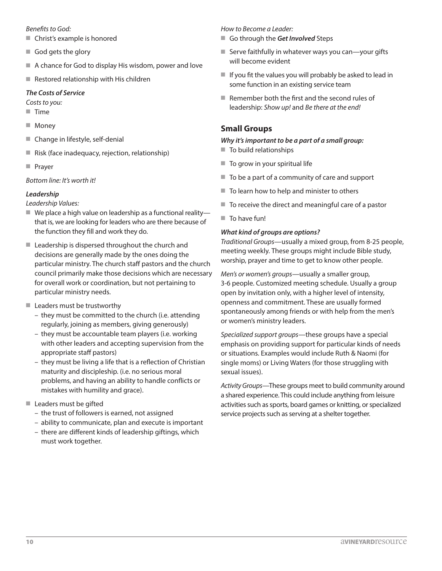#### *Benefits to God:*

- $\blacksquare$  Christ's example is honored
- $\blacksquare$  God gets the glory
- $\blacksquare$  A chance for God to display His wisdom, power and love
- $\blacksquare$  Restored relationship with His children

# *The Costs of Service*

- *Costs to you:*
- **Time**
- **Noney**
- Change in lifestyle, self-denial
- Risk (face inadequacy, rejection, relationship)
- **n** Prayer

*Bottom line: It's worth it!*

# *Leadership*

*Leadership Values:*

- $\blacksquare$  We place a high value on leadership as a functional reality that is, we are looking for leaders who are there because of the function they fill and work they do.
- $\blacksquare$  Leadership is dispersed throughout the church and decisions are generally made by the ones doing the particular ministry. The church staff pastors and the church council primarily make those decisions which are necessary for overall work or coordination, but not pertaining to particular ministry needs.
- $\blacksquare$  Leaders must be trustworthy
	- they must be committed to the church (i.e. attending regularly, joining as members, giving generously)
	- they must be accountable team players (i.e. working with other leaders and accepting supervision from the appropriate staff pastors)
	- they must be living a life that is a reflection of Christian maturity and discipleship. (i.e. no serious moral problems, and having an ability to handle conflicts or mistakes with humility and grace).
- $\blacksquare$  Leaders must be gifted
	- the trust of followers is earned, not assigned
	- ability to communicate, plan and execute is important
	- there are different kinds of leadership giftings, which must work together.

*How to Become a Leader:*

- Go through the Get *Involved* Steps
- $\blacksquare$  Serve faithfully in whatever ways you can—your gifts will become evident
- $\blacksquare$  If you fit the values you will probably be asked to lead in some function in an existing service team
- $\blacksquare$  Remember both the first and the second rules of leadership: *Show up!* and *Be there at the end!*

# **Small Groups**

# *Why it's important to be a part of a small group:*

- $\blacksquare$  To build relationships
- $\blacksquare$  To grow in your spiritual life
- To be a part of a community of care and support
- $\blacksquare$  To learn how to help and minister to others
- $\blacksquare$  To receive the direct and meaningful care of a pastor
- $\blacksquare$  To have fun!

# *What kind of groups are options?*

*Traditional Groups*—usually a mixed group, from 8-25 people, meeting weekly. These groups might include Bible study, worship, prayer and time to get to know other people.

*Men's or women's groups*—usually a smaller group, 3-6 people. Customized meeting schedule. Usually a group open by invitation only, with a higher level of intensity, openness and commitment. These are usually formed spontaneously among friends or with help from the men's or women's ministry leaders.

*Specialized support groups*—these groups have a special emphasis on providing support for particular kinds of needs or situations. Examples would include Ruth & Naomi (for single moms) or Living Waters (for those struggling with sexual issues).

*Activity Groups*—These groups meet to build community around a shared experience. This could include anything from leisure activities such as sports, board games or knitting, or specialized service projects such as serving at a shelter together.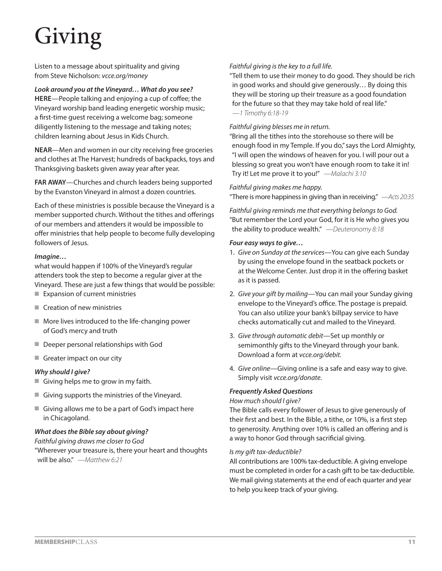# Giving

Listen to a message about spirituality and giving from Steve Nicholson: *vcce.org/money*

*Look around you at the Vineyard… What do you see?* **HERE**—People talking and enjoying a cup of coffee; the Vineyard worship band leading energetic worship music; a first-time guest receiving a welcome bag; someone diligently listening to the message and taking notes; children learning about Jesus in Kids Church.

**NEAR**—Men and women in our city receiving free groceries and clothes at The Harvest; hundreds of backpacks, toys and Thanksgiving baskets given away year after year.

**FAR AWAY**—Churches and church leaders being supported by the Evanston Vineyard in almost a dozen countries.

Each of these ministries is possible because the Vineyard is a member supported church. Without the tithes and offerings of our members and attenders it would be impossible to offer ministries that help people to become fully developing followers of Jesus.

### *Imagine…*

what would happen if 100% of the Vineyard's regular attenders took the step to become a regular giver at the Vineyard. These are just a few things that would be possible:  $\blacksquare$  Expansion of current ministries

- $\blacksquare$  Creation of new ministries
- $\blacksquare$  More lives introduced to the life-changing power of God's mercy and truth
- **Deeper personal relationships with God**
- Greater impact on our city

#### *Why should I give?*

- Giving helps me to grow in my faith.
- $\blacksquare$  Giving supports the ministries of the Vineyard.
- Giving allows me to be a part of God's impact here in Chicagoland.

### *What does the Bible say about giving?*

*Faithful giving draws me closer to God* "Wherever your treasure is, there your heart and thoughts will be also." *—Matthew 6:21*

#### *Faithful giving is the key to a full life.*

"Tell them to use their money to do good. They should be rich in good works and should give generously… By doing this they will be storing up their treasure as a good foundation for the future so that they may take hold of real life." *—1 Timothy 6:18-19*

#### *Faithful giving blesses me in return.*

"Bring all the tithes into the storehouse so there will be enough food in my Temple. If you do," says the Lord Almighty, "I will open the windows of heaven for you. I will pour out a blessing so great you won't have enough room to take it in! Try it! Let me prove it to you!" *—Malachi 3:10*

*Faithful giving makes me happy.*

"There is more happiness in giving than in receiving." *—Acts 20:35*

*Faithful giving reminds me that everything belongs to God.* "But remember the Lord your God, for it is He who gives you the ability to produce wealth." *—Deuteronomy 8:18*

#### *Four easy ways to give…*

- 1. *Give on Sunday at the services—*You can give each Sunday by using the envelope found in the seatback pockets or at the Welcome Center. Just drop it in the offering basket as it is passed.
- 2. *Give your gift by mailing—*You can mail your Sunday giving envelope to the Vineyard's office. The postage is prepaid. You can also utilize your bank's billpay service to have checks automatically cut and mailed to the Vineyard.
- 3. *Give through automatic debit—*Set up monthly or semimonthly gifts to the Vineyard through your bank. Download a form at *vcce.org/debit.*
- 4. *Give online—*Giving online is a safe and easy way to give. Simply visit *vcce.org/donate*.

### *Frequently Asked Questions*

### *How much should I give?*

The Bible calls every follower of Jesus to give generously of their first and best. In the Bible, a tithe, or 10%, is a first step to generosity. Anything over 10% is called an offering and is a way to honor God through sacrificial giving.

#### *Is my gift tax-deductible?*

All contributions are 100% tax-deductible. A giving envelope must be completed in order for a cash gift to be tax-deductible. We mail giving statements at the end of each quarter and year to help you keep track of your giving.